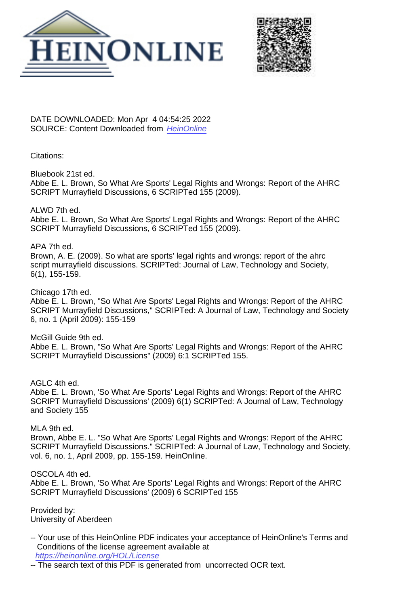



DATE DOWNLOADED: Mon Apr 4 04:54:25 2022 SOURCE: Content Downloaded from [HeinOnline](https://heinonline.org/HOL/Page?handle=hein.journals/scripted6&collection=journals&id=156&startid=&endid=160)

Citations:

Bluebook 21st ed. Abbe E. L. Brown, So What Are Sports' Legal Rights and Wrongs: Report of the AHRC SCRIPT Murrayfield Discussions, 6 SCRIPTed 155 (2009).

ALWD 7th ed. Abbe E. L. Brown, So What Are Sports' Legal Rights and Wrongs: Report of the AHRC SCRIPT Murrayfield Discussions, 6 SCRIPTed 155 (2009).

APA 7th ed. Brown, A. E. (2009). So what are sports' legal rights and wrongs: report of the ahrc script murrayfield discussions. SCRIPTed: Journal of Law, Technology and Society, 6(1), 155-159.

Chicago 17th ed. Abbe E. L. Brown, "So What Are Sports' Legal Rights and Wrongs: Report of the AHRC SCRIPT Murrayfield Discussions," SCRIPTed: A Journal of Law, Technology and Society 6, no. 1 (April 2009): 155-159

McGill Guide 9th ed. Abbe E. L. Brown, "So What Are Sports' Legal Rights and Wrongs: Report of the AHRC SCRIPT Murrayfield Discussions" (2009) 6:1 SCRIPTed 155.

AGLC 4th ed.

Abbe E. L. Brown, 'So What Are Sports' Legal Rights and Wrongs: Report of the AHRC SCRIPT Murrayfield Discussions' (2009) 6(1) SCRIPTed: A Journal of Law, Technology and Society 155

MLA 9th ed.

Brown, Abbe E. L. "So What Are Sports' Legal Rights and Wrongs: Report of the AHRC SCRIPT Murrayfield Discussions." SCRIPTed: A Journal of Law, Technology and Society, vol. 6, no. 1, April 2009, pp. 155-159. HeinOnline.

OSCOLA 4th ed. Abbe E. L. Brown, 'So What Are Sports' Legal Rights and Wrongs: Report of the AHRC SCRIPT Murrayfield Discussions' (2009) 6 SCRIPTed 155

Provided by: University of Aberdeen

- -- Your use of this HeinOnline PDF indicates your acceptance of HeinOnline's Terms and Conditions of the license agreement available at <https://heinonline.org/HOL/License>
- -- The search text of this PDF is generated from uncorrected OCR text.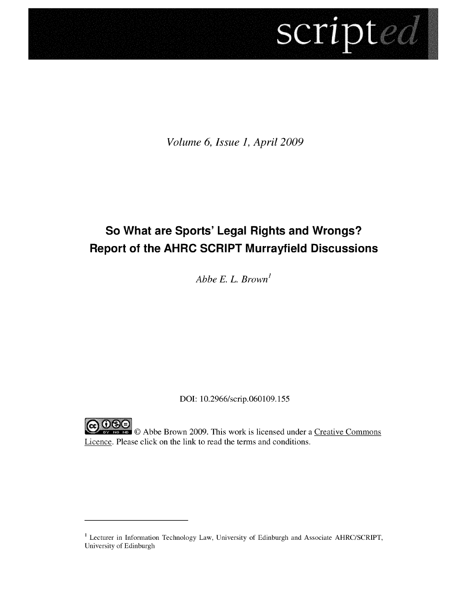# scripted

*Volume 6, Issue 1, April 2009*

## **So What are Sports' Legal Rights and Wrongs? Report of the AHRC SCRIPT Murrayfield Discussions**

*Abbe E. L. Brown'*

DOI: 10.2966/scrip.060109.155

**C C**  $\bigcirc$  **C**  $\bigcirc$  **C** Abbe Brown 2009. This work is licensed under a <u>Creative Commons</u> Licence. Please click on the link to read the terms and conditions.

<sup>1</sup> Lecturer in Information Technology Law, University of Edinburgh and Associate AHRC/SCRIPT, University of Edinburgh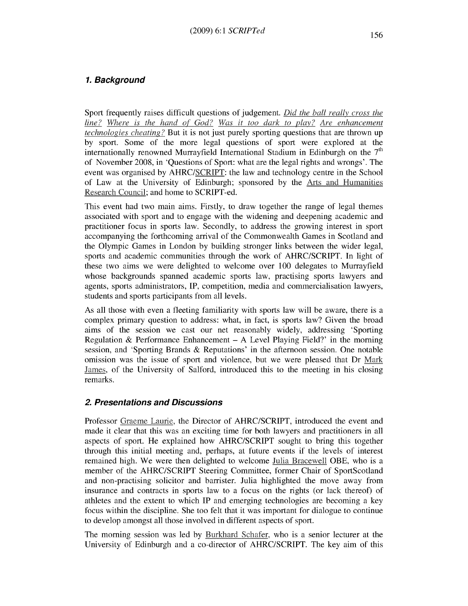### **1. Background**

Sport frequently raises difficult questions of judgement. *Did the ball really cross the line? Where is the hand of God? Was it too dark to play? Are enhancement technologies cheating?* But it is not just purely sporting questions that are thrown up **by** sport. Some of the more legal questions of sport were explored at the internationally renowned Murrayfield International Stadium in Edinburgh on the **<sup>7</sup> th** of November **2008,** in 'Questions of Sport: what are the legal rights and wrongs'. The event was organised **by** AHRC/SCRIPT: the law and technology centre in the School of Law at the University of Edinburgh; sponsored **by** the Arts and Humanities Research Council; and home to SCRIPT-ed.

This event had two main aims. Firstly, to draw together the range of legal themes associated with sport and to engage with the widening and deepening academic and practitioner focus in sports law. Secondly, to address the growing interest in sport accompanying the forthcoming arrival of the Commonwealth Games in Scotland and the Olympic Games in London **by** building stronger links between the wider legal, sports and academic communities through the work of AHRC/SCRIPT. In light of these two aims we were delighted to welcome over **100** delegates to Murrayfield whose backgrounds spanned academic sports law, practising sports lawyers and agents, sports administrators, IP, competition, media and commercialisation lawyers, students and sports participants from all levels.

As all those with even a fleeting familiarity with sports law will be aware, there is a complex primary question to address: what, in fact, is sports law? Given the broad aims of the session we cast our net reasonably widely, addressing 'Sporting Regulation **&** Performance Enhancement **- A** Level Playing Field?' in the morning session, and 'Sporting Brands **&** Reputations' in the afternoon session. One notable omission was the issue of sport and violence, but we were pleased that Dr Mark James, of the University of Salford, introduced this to the meeting in his closing remarks.

### **2. Presentations and Discussions**

Professor Graeme Laurie, the Director of AHRC/SCRIPT, introduced the event and made it clear that this was an exciting time for both lawyers and practitioners in all aspects of sport. He explained how AHRC/SCRIPT sought to bring this together through this initial meeting and, perhaps, at future events if the levels of interest remained high. We were then delighted to welcome Julia Bracewell OBE, who is a member of the AHRC/SCRIPT Steering Committee, former Chair of SportScotland and non-practising solicitor and barrister. Julia highlighted the move away from insurance and contracts in sports law to a focus on the rights (or lack thereof) of athletes and the extent to which IP and emerging technologies are becoming a key focus within the discipline. She too felt that it was important for dialogue to continue to develop amongst all those involved in different aspects of sport.

The morning session was led **by** Burkhard Schafer, who is a senior lecturer at the University of Edinburgh and a co-director of AHRC/SCRIPT. The key aim of this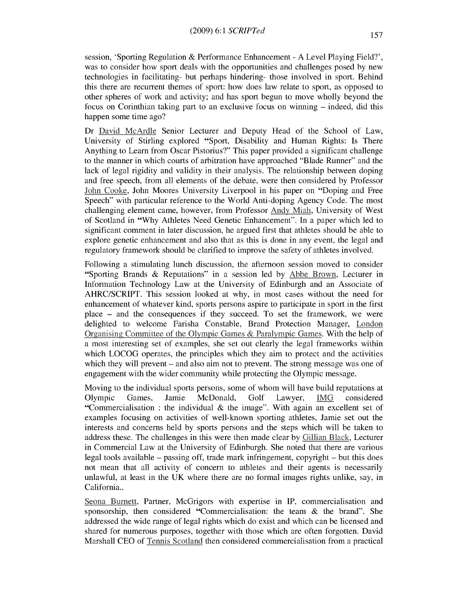session, 'Sporting Regulation & Performance Enhancement - A Level Playing Field?', was to consider how sport deals with the opportunities and challenges posed by new technologies in facilitating- but perhaps hindering- those involved in sport. Behind this there are recurrent themes of sport: how does law relate to sport, as opposed to other spheres of work and activity; and has sport begun to move wholly beyond the focus on Corinthian taking part to an exclusive focus on winning - indeed, did this happen some time ago?

Dr David McArdle Senior Lecturer and Deputy Head of the School of Law, University of Stirling explored "Sport, Disability and Human Rights: Is There Anything to Learn from Oscar Pistorius?" This paper provided a significant challenge to the manner in which courts of arbitration have approached "Blade Runner" and the lack of legal rigidity and validity in their analysis. The relationship between doping and free speech, from all elements of the debate, were then considered by Professor John Cooke, John Moores University Liverpool in his paper on "Doping and Free Speech" with particular reference to the World Anti-doping Agency Code. The most challenging element came, however, from Professor **Andy** Miah, University of West of Scotland in "Why Athletes Need Genetic Enhancement". In a paper which led to significant comment in later discussion, he argued first that athletes should be able to explore genetic enhancement and also that as this is done in any event, the legal and regulatory framework should be clarified to improve the safety of athletes involved.

Following a stimulating lunch discussion, the afternoon session moved to consider "Sporting Brands & Reputations" in a session led by Abbe Brown, Lecturer in Information Technology Law at the University of Edinburgh and an Associate of AHRC/SCRIPT. This session looked at why, in most cases without the need for enhancement of whatever kind, sports persons aspire to participate in sport in the first place - and the consequences if they succeed. To set the framework, we were delighted to welcome Farisha Constable, Brand Protection Manager, London Organising Committee of the Olympic Games & Paralympic Games. With the help of a most interesting set of examples, she set out clearly the legal frameworks within which LOCOG operates, the principles which they aim to protect and the activities which they will prevent – and also aim not to prevent. The strong message was one of engagement with the wider community while protecting the Olympic message.

Moving to the individual sports persons, some of whom will have build reputations at Olympic Games, Jamie McDonald, Golf Lawyer, **IMG** considered "Commercialisation : the individual  $\&$  the image". With again an excellent set of examples focusing on activities of well-known sporting athletes, Jamie set out the interests and concerns held by sports persons and the steps which will be taken to address these. The challenges in this were then made clear by Gillian Black, Lecturer in Commercial Law at the University of Edinburgh. She noted that there are various legal tools available - passing off, trade mark infringement, copyright - but this does not mean that all activity of concern to athletes and their agents is necessarily unlawful, at least in the UK where there are no formal images rights unlike, say, in California..

Seona Burnett, Partner, McGrigors with expertise in IP, commercialisation and sponsorship, then considered "Commercialisation: the team & the brand". She addressed the wide range of legal rights which do exist and which can be licensed and shared for numerous purposes, together with those which are often forgotten. David Marshall CEO of Tennis Scotland then considered commercialisation from a practical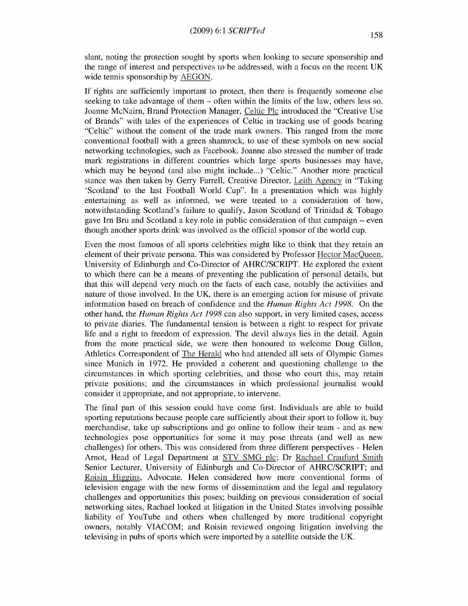slant, noting the protection sought by sports when looking to secure sponsorship and the range of interest and perspectives to be addressed, with a focus on the recent UK wide tennis sponsorship by AEGON.

If rights are sufficiently important to protect, then there is frequently someone else seeking to take advantage of them - often within the limits of the law, others less so. Joanne McNairn, Brand Protection Manager, Celtic Plc introduced the "Creative Use of Brands" with tales of the experiences of Celtic in tracking use of goods bearing "Celtic" without the consent of the trade mark owners. This ranged from the more conventional football with a green shamrock, to use of these symbols on new social networking technologies, such as Facebook. Joanne also stressed the number of trade mark registrations in different countries which large sports businesses may have, which may be beyond (and also might include...) "Celtic." Another more practical stance was then taken by Gerry Farrell, Creative Director, Leith Agency in "Taking 'Scotland' to the last Football World Cup". In a presentation which was highly entertaining as well as informed, we were treated to a consideration of how, notwithstanding Scotland's failure to qualify, Jason Scotland of Trinidad  $\&$  Tobago gave Irn Bru and Scotland a key role in public consideration of that campaign - even though another sports drink was involved as the official sponsor of the world cup.

Even the most famous of all sports celebrities might like to think that they retain an element of their private persona. This was considered by Professor Hector MacQueen, University of Edinburgh and Co-Director of AHRC/SCRIPT. He explored the extent to which there can be a means of preventing the publication of personal details, but that this will depend very much on the facts of each case, notably the activities and nature of those involved. In the UK, there is an emerging action for misuse of private information based on breach of confidence and the *Human Rights Act 1998.* On the other hand, the *Human Rights Act 1998* can also support, in very limited cases, access to private diaries. The fundamental tension is between a right to respect for private life and a right to freedom of expression. The devil always lies in the detail. Again from the more practical side, we were then honoured to welcome Doug Gillon, Athletics Correspondent of The Herald who had attended all sets of Olympic Games since Munich in 1972. He provided a coherent and questioning challenge to the circumstances in which sporting celebrities, and those who court this, may retain private positions; and the circumstances in which professional journalist would consider it appropriate, and not appropriate, to intervene.

The final part of this session could have come first. Individuals are able to build sporting reputations because people care sufficiently about their sport to follow it, buy merchandise, take up subscriptions and go online to follow their team - and as new technologies pose opportunities for some it may pose threats (and well as new challenges) for others. This was considered from three different perspectives - Helen Amot, Head of Legal Department at STV **SMG** plc; Dr Rachael Craufurd Smith Senior Lecturer, University of Edinburgh and Co-Director of AHRC/SCRIPT; and Roisin Higgins, Advocate. Helen considered how more conventional forms of television engage with the new forms of dissemination and the legal and regulatory challenges and opportunities this poses; building on previous consideration of social networking sites, Rachael looked at litigation in the United States involving possible liability of YouTube and others when challenged by more traditional copyright owners, notably VIACOM; and Roisin reviewed ongoing litigation involving the televising in pubs of sports which were imported by a satellite outside the UK.